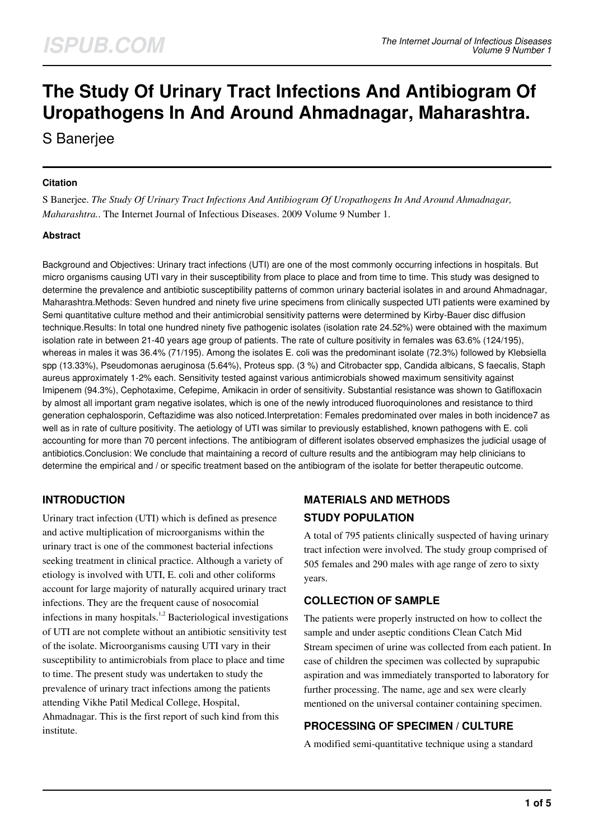# **The Study Of Urinary Tract Infections And Antibiogram Of Uropathogens In And Around Ahmadnagar, Maharashtra.**

S Banerjee

#### **Citation**

S Banerjee. *The Study Of Urinary Tract Infections And Antibiogram Of Uropathogens In And Around Ahmadnagar, Maharashtra.*. The Internet Journal of Infectious Diseases. 2009 Volume 9 Number 1.

#### **Abstract**

Background and Objectives: Urinary tract infections (UTI) are one of the most commonly occurring infections in hospitals. But micro organisms causing UTI vary in their susceptibility from place to place and from time to time. This study was designed to determine the prevalence and antibiotic susceptibility patterns of common urinary bacterial isolates in and around Ahmadnagar, Maharashtra.Methods: Seven hundred and ninety five urine specimens from clinically suspected UTI patients were examined by Semi quantitative culture method and their antimicrobial sensitivity patterns were determined by Kirby-Bauer disc diffusion technique.Results: In total one hundred ninety five pathogenic isolates (isolation rate 24.52%) were obtained with the maximum isolation rate in between 21-40 years age group of patients. The rate of culture positivity in females was 63.6% (124/195), whereas in males it was 36.4% (71/195). Among the isolates E. coli was the predominant isolate (72.3%) followed by Klebsiella spp (13.33%), Pseudomonas aeruginosa (5.64%), Proteus spp. (3 %) and Citrobacter spp, Candida albicans, S faecalis, Staph aureus approximately 1-2% each. Sensitivity tested against various antimicrobials showed maximum sensitivity against Imipenem (94.3%), Cephotaxime, Cefepime, Amikacin in order of sensitivity. Substantial resistance was shown to Gatifloxacin by almost all important gram negative isolates, which is one of the newly introduced fluoroquinolones and resistance to third generation cephalosporin, Ceftazidime was also noticed.Interpretation: Females predominated over males in both incidence7 as well as in rate of culture positivity. The aetiology of UTI was similar to previously established, known pathogens with E. coli accounting for more than 70 percent infections. The antibiogram of different isolates observed emphasizes the judicial usage of antibiotics.Conclusion: We conclude that maintaining a record of culture results and the antibiogram may help clinicians to determine the empirical and / or specific treatment based on the antibiogram of the isolate for better therapeutic outcome.

## **INTRODUCTION**

Urinary tract infection (UTI) which is defined as presence and active multiplication of microorganisms within the urinary tract is one of the commonest bacterial infections seeking treatment in clinical practice. Although a variety of etiology is involved with UTI, E. coli and other coliforms account for large majority of naturally acquired urinary tract infections. They are the frequent cause of nosocomial infections in many hospitals.<sup>1,2</sup> Bacteriological investigations of UTI are not complete without an antibiotic sensitivity test of the isolate. Microorganisms causing UTI vary in their susceptibility to antimicrobials from place to place and time to time. The present study was undertaken to study the prevalence of urinary tract infections among the patients attending Vikhe Patil Medical College, Hospital, Ahmadnagar. This is the first report of such kind from this institute.

## **MATERIALS AND METHODS STUDY POPULATION**

A total of 795 patients clinically suspected of having urinary tract infection were involved. The study group comprised of 505 females and 290 males with age range of zero to sixty years.

#### **COLLECTION OF SAMPLE**

The patients were properly instructed on how to collect the sample and under aseptic conditions Clean Catch Mid Stream specimen of urine was collected from each patient. In case of children the specimen was collected by suprapubic aspiration and was immediately transported to laboratory for further processing. The name, age and sex were clearly mentioned on the universal container containing specimen.

## **PROCESSING OF SPECIMEN / CULTURE**

A modified semi-quantitative technique using a standard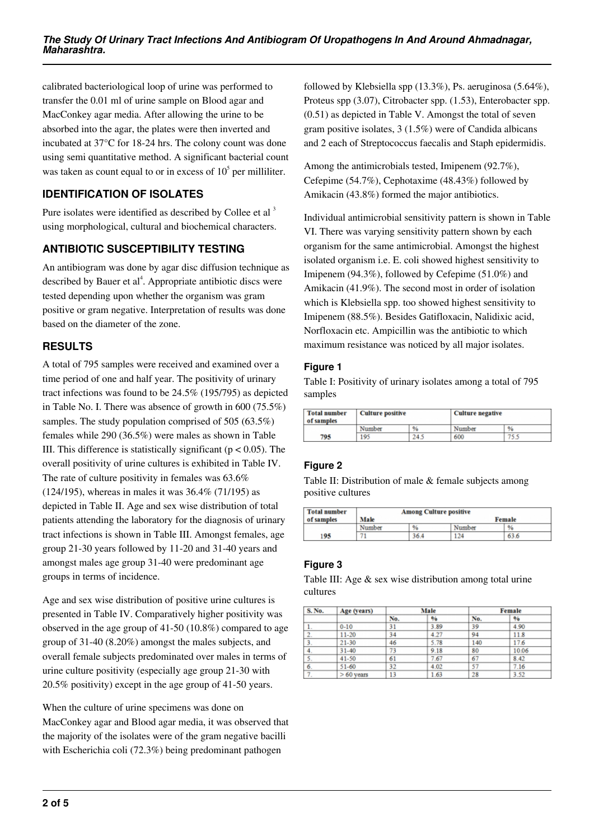calibrated bacteriological loop of urine was performed to transfer the 0.01 ml of urine sample on Blood agar and MacConkey agar media. After allowing the urine to be absorbed into the agar, the plates were then inverted and incubated at 37°C for 18-24 hrs. The colony count was done using semi quantitative method. A significant bacterial count was taken as count equal to or in excess of  $10<sup>5</sup>$  per milliliter.

## **IDENTIFICATION OF ISOLATES**

Pure isolates were identified as described by Collee et al<sup>3</sup> using morphological, cultural and biochemical characters.

## **ANTIBIOTIC SUSCEPTIBILITY TESTING**

An antibiogram was done by agar disc diffusion technique as described by Bauer et al<sup>4</sup>. Appropriate antibiotic discs were tested depending upon whether the organism was gram positive or gram negative. Interpretation of results was done based on the diameter of the zone.

## **RESULTS**

A total of 795 samples were received and examined over a time period of one and half year. The positivity of urinary tract infections was found to be 24.5% (195/795) as depicted in Table No. I. There was absence of growth in 600 (75.5%) samples. The study population comprised of 505 (63.5%) females while 290 (36.5%) were males as shown in Table III. This difference is statistically significant ( $p < 0.05$ ). The overall positivity of urine cultures is exhibited in Table IV. The rate of culture positivity in females was 63.6% (124/195), whereas in males it was 36.4% (71/195) as depicted in Table II. Age and sex wise distribution of total patients attending the laboratory for the diagnosis of urinary tract infections is shown in Table III. Amongst females, age group 21-30 years followed by 11-20 and 31-40 years and amongst males age group 31-40 were predominant age groups in terms of incidence.

Age and sex wise distribution of positive urine cultures is presented in Table IV. Comparatively higher positivity was observed in the age group of 41-50 (10.8%) compared to age group of 31-40 (8.20%) amongst the males subjects, and overall female subjects predominated over males in terms of urine culture positivity (especially age group 21-30 with 20.5% positivity) except in the age group of 41-50 years.

When the culture of urine specimens was done on MacConkey agar and Blood agar media, it was observed that the majority of the isolates were of the gram negative bacilli with Escherichia coli (72.3%) being predominant pathogen

followed by Klebsiella spp (13.3%), Ps. aeruginosa (5.64%), Proteus spp (3.07), Citrobacter spp. (1.53), Enterobacter spp. (0.51) as depicted in Table V. Amongst the total of seven gram positive isolates, 3 (1.5%) were of Candida albicans and 2 each of Streptococcus faecalis and Staph epidermidis.

Among the antimicrobials tested, Imipenem (92.7%), Cefepime (54.7%), Cephotaxime (48.43%) followed by Amikacin (43.8%) formed the major antibiotics.

Individual antimicrobial sensitivity pattern is shown in Table VI. There was varying sensitivity pattern shown by each organism for the same antimicrobial. Amongst the highest isolated organism i.e. E. coli showed highest sensitivity to Imipenem (94.3%), followed by Cefepime (51.0%) and Amikacin (41.9%). The second most in order of isolation which is Klebsiella spp. too showed highest sensitivity to Imipenem (88.5%). Besides Gatifloxacin, Nalidixic acid, Norfloxacin etc. Ampicillin was the antibiotic to which maximum resistance was noticed by all major isolates.

#### **Figure 1**

Table I: Positivity of urinary isolates among a total of 795 samples

| <b>Total number</b><br>of samples | <b>Culture positive</b> |      |        | <b>Culture negative</b> |  |
|-----------------------------------|-------------------------|------|--------|-------------------------|--|
|                                   | Number                  | %    | Number | $\frac{9}{6}$           |  |
| 795                               | 195                     | 24.5 | 600    | 75.5                    |  |

## **Figure 2**

Table II: Distribution of male & female subjects among positive cultures

| <b>Total number</b> | <b>Among Culture positive</b> |      |        |      |  |  |
|---------------------|-------------------------------|------|--------|------|--|--|
| of samples          | Male<br>Female                |      |        |      |  |  |
|                     | Number                        | %    | Number | %    |  |  |
| 195                 |                               | 36.4 | 124    | 63.6 |  |  |

## **Figure 3**

Table III: Age & sex wise distribution among total urine cultures

| <b>S. No.</b> | Age (years) | Male |      |     | Female |  |
|---------------|-------------|------|------|-----|--------|--|
|               |             | No.  | %    | No. | %      |  |
| $\mathbf{I}$  | $0 - 10$    | 31   | 3.89 | 39  | 4.90   |  |
| s.            | $11 - 20$   | 34   | 4.27 | 94  | 11.8   |  |
| э.            | 21-30       | 46   | 5.78 | 140 | 17.6   |  |
|               | $31 - 40$   | 73   | 9.18 | 80  | 10.06  |  |
| 5.            | $41 - 50$   | 61   | 7.67 | 67  | 8.42   |  |
| 6.            | $51 - 60$   | 32   | 4.02 | 57  | 7.16   |  |
|               | $>60$ vears | 13   | 1.63 | 28  | 3.52   |  |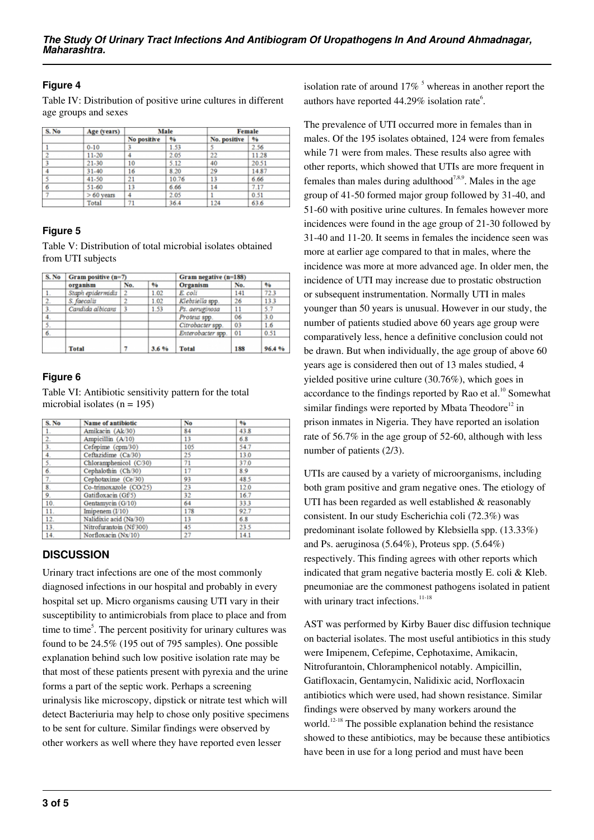### **Figure 4**

Table IV: Distribution of positive urine cultures in different age groups and sexes

| S. No | Age (years) |             | Male  |              | Female |  |
|-------|-------------|-------------|-------|--------------|--------|--|
|       |             | No positive | %     | No. positive | %      |  |
|       | $0 - 10$    |             | 1.53  |              | 2.56   |  |
|       | $11 - 20$   |             | 2.05  | 22           | 11.28  |  |
|       | $21 - 30$   | 10          | 5.12  | 40           | 20.51  |  |
|       | $31 - 40$   | 16          | 8.20  | 29           | 14.87  |  |
|       | 41-50       | 21          | 10.76 | 13           | 6.66   |  |
| 6     | $51 - 60$   | 13          | 6.66  | 14           | 7.17   |  |
|       | $>60$ years | 4           | 2.05  |              | 0.51   |  |
|       | Total       | 71          | 364   | 124          | 636    |  |

#### **Figure 5**

Table V: Distribution of total microbial isolates obtained from UTI subjects

| S. No            | Gram positive (n=7) |                |      | Gram negative (n=188) |     |       |
|------------------|---------------------|----------------|------|-----------------------|-----|-------|
|                  | organism            | No.            | 96   | Organism              | No. | 96    |
| 1.               | Staph epidermidis   | $\overline{2}$ | 1.02 | E. coli               | 141 | 723   |
| $\overline{2}$ . | S. faecalis         |                | 1.02 | Klebsiella spp.       | 26  | 13.3  |
| 3 <sub>1</sub>   | Candida albicans    |                | 1.53 | Ps. aeruginosa        | 11  | 5.7   |
| 4.               |                     |                |      | Proteus spp.          | 06  | 3.0   |
| 5.               |                     |                |      | Citrobacter spp.      | 03  | 1.6   |
| 6.               |                     |                |      | Enterobacter spp.     | 01  | 0.51  |
|                  | <b>Total</b>        |                | 3.6% | <b>Total</b>          | 188 | 96.4% |

## **Figure 6**

Table VI: Antibiotic sensitivity pattern for the total microbial isolates ( $n = 195$ )

| S. No            | Name of antibiotic      | No  | %    |
|------------------|-------------------------|-----|------|
| 1.               | Amikacin (Ak/30)        | 84  | 43.8 |
| $\overline{2}$ . | Ampicillin (A/10)       | 13  | 6.8  |
| 3.               | Cefepime (cpm/30)       | 105 | 54.7 |
| 4.               | Ceftazidime (Ca/30)     | 25  | 13.0 |
| 5.               | Chloramphenicol (C/30)  | 71  | 37.0 |
| 6.               | Cephalothin (Ch/30)     | 17  | 8.9  |
| 7.               | Cephotaxime (Ce/30)     | 93  | 48.5 |
| 8.               | Co-trimoxazole (CO/25)  | 23  | 12.0 |
| 9.               | Gatifloxacin (Gf/5)     | 32  | 16.7 |
| 10.              | Gentamycin (G/10)       | 64  | 333  |
| 11.              | Imipenem $(I/10)$       | 178 | 92.7 |
| 12.              | Nalidixic acid (Na/30)  | 13  | 6.8  |
| 13.              | Nitrofurantoin (Nf/300) | 45  | 23.5 |
| 14.              | Norfloxacin (Nx/10)     | 27  | 14.1 |

## **DISCUSSION**

Urinary tract infections are one of the most commonly diagnosed infections in our hospital and probably in every hospital set up. Micro organisms causing UTI vary in their susceptibility to antimicrobials from place to place and from time to time<sup>5</sup>. The percent positivity for urinary cultures was found to be 24.5% (195 out of 795 samples). One possible explanation behind such low positive isolation rate may be that most of these patients present with pyrexia and the urine forms a part of the septic work. Perhaps a screening urinalysis like microscopy, dipstick or nitrate test which will detect Bacteriuria may help to chose only positive specimens to be sent for culture. Similar findings were observed by other workers as well where they have reported even lesser

isolation rate of around  $17\%$ <sup>5</sup> whereas in another report the authors have reported  $44.29\%$  isolation rate<sup>6</sup>.

The prevalence of UTI occurred more in females than in males. Of the 195 isolates obtained, 124 were from females while 71 were from males. These results also agree with other reports, which showed that UTIs are more frequent in females than males during adulthood<sup>7,8,9</sup>. Males in the age group of 41-50 formed major group followed by 31-40, and 51-60 with positive urine cultures. In females however more incidences were found in the age group of 21-30 followed by 31-40 and 11-20. It seems in females the incidence seen was more at earlier age compared to that in males, where the incidence was more at more advanced age. In older men, the incidence of UTI may increase due to prostatic obstruction or subsequent instrumentation. Normally UTI in males younger than 50 years is unusual. However in our study, the number of patients studied above 60 years age group were comparatively less, hence a definitive conclusion could not be drawn. But when individually, the age group of above 60 years age is considered then out of 13 males studied, 4 yielded positive urine culture (30.76%), which goes in accordance to the findings reported by Rao et al.<sup>10</sup> Somewhat similar findings were reported by Mbata Theodore $12$  in prison inmates in Nigeria. They have reported an isolation rate of 56.7% in the age group of 52-60, although with less number of patients (2/3).

UTIs are caused by a variety of microorganisms, including both gram positive and gram negative ones. The etiology of UTI has been regarded as well established & reasonably consistent. In our study Escherichia coli (72.3%) was predominant isolate followed by Klebsiella spp. (13.33%) and Ps. aeruginosa (5.64%), Proteus spp. (5.64%) respectively. This finding agrees with other reports which indicated that gram negative bacteria mostly E. coli & Kleb. pneumoniae are the commonest pathogens isolated in patient with urinary tract infections.<sup>11-18</sup>

AST was performed by Kirby Bauer disc diffusion technique on bacterial isolates. The most useful antibiotics in this study were Imipenem, Cefepime, Cephotaxime, Amikacin, Nitrofurantoin, Chloramphenicol notably. Ampicillin, Gatifloxacin, Gentamycin, Nalidixic acid, Norfloxacin antibiotics which were used, had shown resistance. Similar findings were observed by many workers around the world.<sup>12-18</sup> The possible explanation behind the resistance showed to these antibiotics, may be because these antibiotics have been in use for a long period and must have been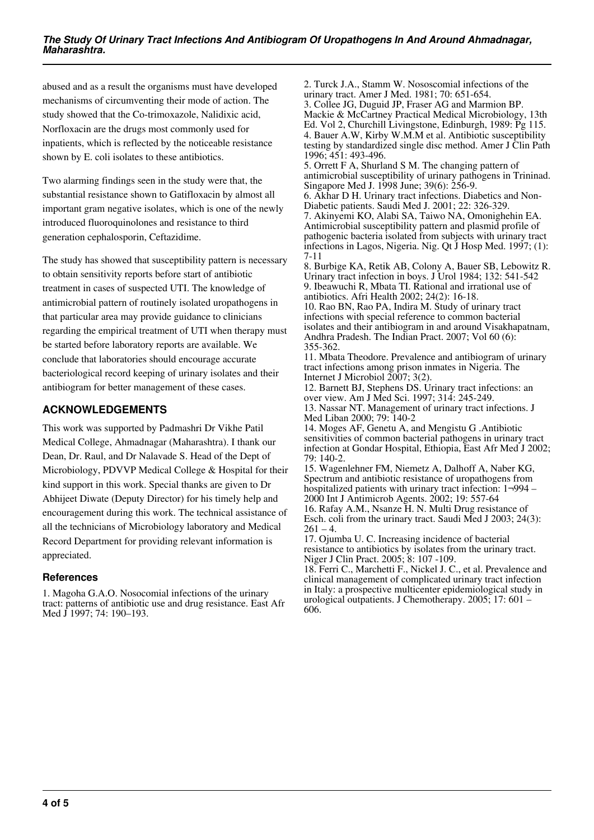abused and as a result the organisms must have developed mechanisms of circumventing their mode of action. The study showed that the Co-trimoxazole, Nalidixic acid, Norfloxacin are the drugs most commonly used for inpatients, which is reflected by the noticeable resistance shown by E. coli isolates to these antibiotics.

Two alarming findings seen in the study were that, the substantial resistance shown to Gatifloxacin by almost all important gram negative isolates, which is one of the newly introduced fluoroquinolones and resistance to third generation cephalosporin, Ceftazidime.

The study has showed that susceptibility pattern is necessary to obtain sensitivity reports before start of antibiotic treatment in cases of suspected UTI. The knowledge of antimicrobial pattern of routinely isolated uropathogens in that particular area may provide guidance to clinicians regarding the empirical treatment of UTI when therapy must be started before laboratory reports are available. We conclude that laboratories should encourage accurate bacteriological record keeping of urinary isolates and their antibiogram for better management of these cases.

### **ACKNOWLEDGEMENTS**

This work was supported by Padmashri Dr Vikhe Patil Medical College, Ahmadnagar (Maharashtra). I thank our Dean, Dr. Raul, and Dr Nalavade S. Head of the Dept of Microbiology, PDVVP Medical College & Hospital for their kind support in this work. Special thanks are given to Dr Abhijeet Diwate (Deputy Director) for his timely help and encouragement during this work. The technical assistance of all the technicians of Microbiology laboratory and Medical Record Department for providing relevant information is appreciated.

#### **References**

1. Magoha G.A.O. Nosocomial infections of the urinary tract: patterns of antibiotic use and drug resistance. East Afr Med J 1997; 74: 190–193.

2. Turck J.A., Stamm W. Nososcomial infections of the urinary tract. Amer J Med. 1981; 70: 651-654. 3. Collee JG, Duguid JP, Fraser AG and Marmion BP. Mackie & McCartney Practical Medical Microbiology, 13th Ed. Vol 2, Churchill Livingstone, Edinburgh, 1989: Pg 115. 4. Bauer A.W, Kirby W.M.M et al. Antibiotic susceptibility testing by standardized single disc method. Amer J Clin Path 1996; 451: 493-496.

5. Orrett F A, Shurland S M. The changing pattern of antimicrobial susceptibility of urinary pathogens in Trininad. Singapore Med J. 1998 June; 39(6): 256-9.

6. Akhar D H. Urinary tract infections. Diabetics and Non-Diabetic patients. Saudi Med J. 2001; 22: 326-329. 7. Akinyemi KO, Alabi SA, Taiwo NA, Omonighehin EA. Antimicrobial susceptibility pattern and plasmid profile of pathogenic bacteria isolated from subjects with urinary tract infections in Lagos, Nigeria. Nig. Qt J Hosp Med. 1997; (1): 7-11

8. Burbige KA, Retik AB, Colony A, Bauer SB, Lebowitz R. Urinary tract infection in boys. J Urol 1984; 132: 541-542 9. Ibeawuchi R, Mbata TI. Rational and irrational use of antibiotics. Afri Health 2002; 24(2): 16-18.

10. Rao BN, Rao PA, Indira M. Study of urinary tract infections with special reference to common bacterial isolates and their antibiogram in and around Visakhapatnam, Andhra Pradesh. The Indian Pract. 2007; Vol 60 (6): 355-362.

11. Mbata Theodore. Prevalence and antibiogram of urinary tract infections among prison inmates in Nigeria. The Internet J Microbiol 2007; 3(2).

12. Barnett BJ, Stephens DS. Urinary tract infections: an over view. Am J Med Sci. 1997; 314: 245-249.

13. Nassar NT. Management of urinary tract infections. J Med Liban 2000; 79: 140-2

14. Moges AF, Genetu A, and Mengistu G .Antibiotic sensitivities of common bacterial pathogens in urinary tract infection at Gondar Hospital, Ethiopia, East Afr Med J 2002; 79: 140-2.

15. Wagenlehner FM, Niemetz A, Dalhoff A, Naber KG, Spectrum and antibiotic resistance of uropathogens from hospitalized patients with urinary tract infection:  $1\neg 994$  – 2000 Int J Antimicrob Agents. 2002; 19: 557-64

16. Rafay A.M., Nsanze H. N. Multi Drug resistance of Esch. coli from the urinary tract. Saudi Med J 2003; 24(3):  $261 - 4.$ 

17. Ojumba U. C. Increasing incidence of bacterial resistance to antibiotics by isolates from the urinary tract. Niger J Clin Pract. 2005; 8: 107 -109.

18. Ferri C., Marchetti F., Nickel J. C., et al. Prevalence and clinical management of complicated urinary tract infection in Italy: a prospective multicenter epidemiological study in urological outpatients. J Chemotherapy. 2005; 17: 601 – 606.